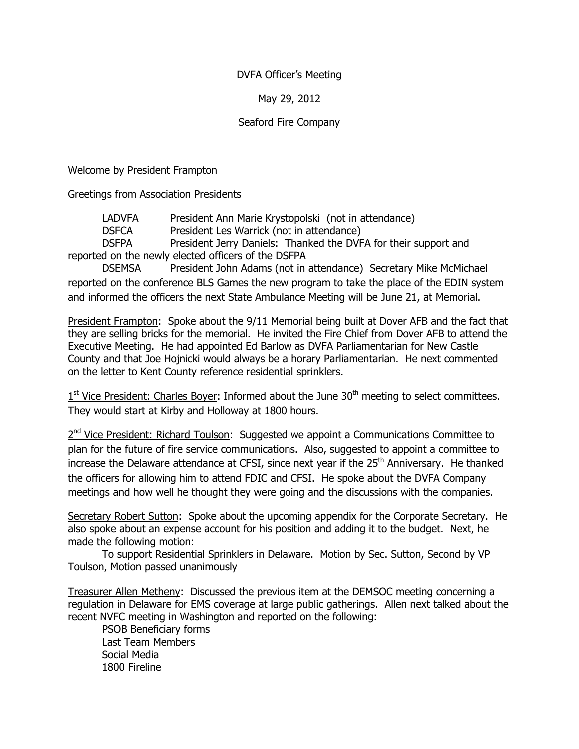## DVFA Officer's Meeting

## May 29, 2012

## Seaford Fire Company

Welcome by President Frampton

Greetings from Association Presidents

LADVFA President Ann Marie Krystopolski (not in attendance)

DSFCA President Les Warrick (not in attendance)

 DSFPA President Jerry Daniels: Thanked the DVFA for their support and reported on the newly elected officers of the DSFPA

 DSEMSA President John Adams (not in attendance) Secretary Mike McMichael reported on the conference BLS Games the new program to take the place of the EDIN system and informed the officers the next State Ambulance Meeting will be June 21, at Memorial.

President Frampton: Spoke about the 9/11 Memorial being built at Dover AFB and the fact that they are selling bricks for the memorial. He invited the Fire Chief from Dover AFB to attend the Executive Meeting. He had appointed Ed Barlow as DVFA Parliamentarian for New Castle County and that Joe Hojnicki would always be a horary Parliamentarian. He next commented on the letter to Kent County reference residential sprinklers.

 $1<sup>st</sup>$  Vice President: Charles Boyer: Informed about the June 30<sup>th</sup> meeting to select committees. They would start at Kirby and Holloway at 1800 hours.

2<sup>nd</sup> Vice President: Richard Toulson: Suggested we appoint a Communications Committee to plan for the future of fire service communications. Also, suggested to appoint a committee to increase the Delaware attendance at CFSI, since next year if the 25<sup>th</sup> Anniversary. He thanked the officers for allowing him to attend FDIC and CFSI. He spoke about the DVFA Company meetings and how well he thought they were going and the discussions with the companies.

Secretary Robert Sutton: Spoke about the upcoming appendix for the Corporate Secretary. He also spoke about an expense account for his position and adding it to the budget. Next, he made the following motion:

 To support Residential Sprinklers in Delaware. Motion by Sec. Sutton, Second by VP Toulson, Motion passed unanimously

Treasurer Allen Metheny: Discussed the previous item at the DEMSOC meeting concerning a regulation in Delaware for EMS coverage at large public gatherings. Allen next talked about the recent NVFC meeting in Washington and reported on the following:

 PSOB Beneficiary forms Last Team Members Social Media 1800 Fireline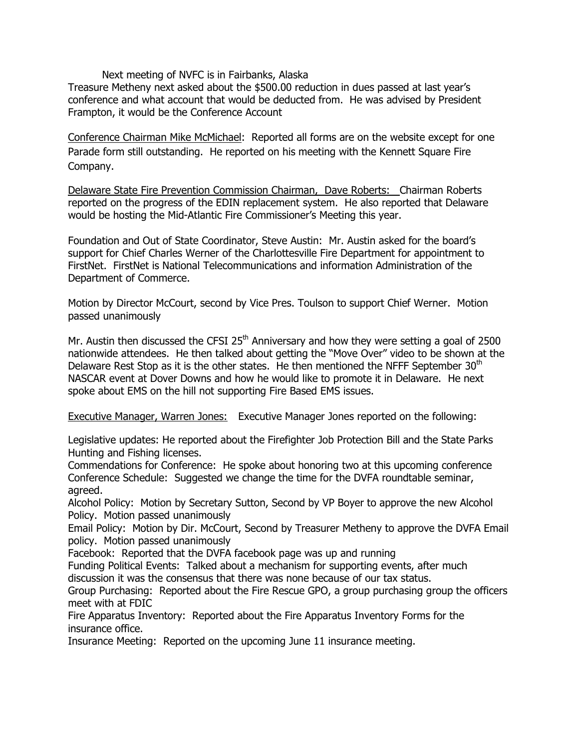Next meeting of NVFC is in Fairbanks, Alaska

Treasure Metheny next asked about the \$500.00 reduction in dues passed at last year's conference and what account that would be deducted from. He was advised by President Frampton, it would be the Conference Account

Conference Chairman Mike McMichael: Reported all forms are on the website except for one Parade form still outstanding. He reported on his meeting with the Kennett Square Fire Company.

Delaware State Fire Prevention Commission Chairman, Dave Roberts: Chairman Roberts reported on the progress of the EDIN replacement system. He also reported that Delaware would be hosting the Mid-Atlantic Fire Commissioner's Meeting this year.

Foundation and Out of State Coordinator, Steve Austin: Mr. Austin asked for the board's support for Chief Charles Werner of the Charlottesville Fire Department for appointment to FirstNet. FirstNet is National Telecommunications and information Administration of the Department of Commerce.

Motion by Director McCourt, second by Vice Pres. Toulson to support Chief Werner. Motion passed unanimously

Mr. Austin then discussed the CFSI  $25<sup>th</sup>$  Anniversary and how they were setting a goal of 2500 nationwide attendees. He then talked about getting the "Move Over" video to be shown at the Delaware Rest Stop as it is the other states. He then mentioned the NFFF September  $30<sup>th</sup>$ NASCAR event at Dover Downs and how he would like to promote it in Delaware. He next spoke about EMS on the hill not supporting Fire Based EMS issues.

Executive Manager, Warren Jones: Executive Manager Jones reported on the following:

Legislative updates: He reported about the Firefighter Job Protection Bill and the State Parks Hunting and Fishing licenses.

Commendations for Conference: He spoke about honoring two at this upcoming conference Conference Schedule: Suggested we change the time for the DVFA roundtable seminar, agreed.

Alcohol Policy: Motion by Secretary Sutton, Second by VP Boyer to approve the new Alcohol Policy. Motion passed unanimously

Email Policy: Motion by Dir. McCourt, Second by Treasurer Metheny to approve the DVFA Email policy. Motion passed unanimously

Facebook: Reported that the DVFA facebook page was up and running

Funding Political Events: Talked about a mechanism for supporting events, after much discussion it was the consensus that there was none because of our tax status.

Group Purchasing: Reported about the Fire Rescue GPO, a group purchasing group the officers meet with at FDIC

Fire Apparatus Inventory: Reported about the Fire Apparatus Inventory Forms for the insurance office.

Insurance Meeting: Reported on the upcoming June 11 insurance meeting.